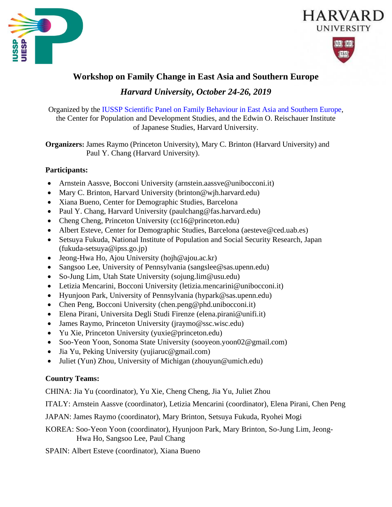





# **Workshop on Family Change in East Asia and Southern Europe**

*Harvard University, October 24-26, 2019*

Organized by the [IUSSP Scientific Panel on Family Behaviour in East Asia and Southern Europe,](https://iussp.org/en/panel/family-behaviour-east-asia-and-southern-europe) the Center for Population and Development Studies, and the Edwin O. Reischauer Institute of Japanese Studies, Harvard University.

**Organizers:** James Raymo (Princeton University), Mary C. Brinton (Harvard University) and Paul Y. Chang (Harvard University).

## **Participants:**

- Arnstein Aassve, Bocconi University (arnstein.aassve@unibocconi.it)
- Mary C. Brinton, Harvard University (brinton@wjh.harvard.edu)
- Xiana Bueno, Center for Demographic Studies, Barcelona
- Paul Y. Chang, Harvard University (paulchang@fas.harvard.edu)
- Cheng Cheng, Princeton University (cc16@princeton.edu)
- Albert Esteve, Center for Demographic Studies, Barcelona (aesteve@ced.uab.es)
- Setsuya Fukuda, National Institute of Population and Social Security Research, Japan (fukuda-setsuya@ipss.go.jp)
- Jeong-Hwa Ho, Ajou University (hojh@ajou.ac.kr)
- Sangsoo Lee, University of Pennsylvania (sangslee@sas.upenn.edu)
- So-Jung Lim, Utah State University (sojung.lim@usu.edu)
- Letizia Mencarini, Bocconi University (letizia.mencarini@unibocconi.it)
- Hyunjoon Park, University of Pennsylvania (hypark@sas.upenn.edu)
- Chen Peng, Bocconi University [\(chen.peng@phd.unibocconi.it\)](mailto:chen.peng@phd.unibocconi.it)
- Elena Pirani, Universita Degli Studi Firenze [\(elena.pirani@unifi.it\)](mailto:elena.pirani@unifi.it)
- James Raymo, Princeton University (jraymo@ssc.wisc.edu)
- Yu Xie, Princeton University (yuxie@princeton.edu)
- Soo-Yeon Yoon, Sonoma State University (sooyeon.yoon02@gmail.com)
- Jia Yu, Peking University (yujiaruc@gmail.com)
- Juliet (Yun) Zhou, University of Michigan (zhouyun@umich.edu)

## **Country Teams:**

CHINA: Jia Yu (coordinator), Yu Xie, Cheng Cheng, Jia Yu, Juliet Zhou

ITALY: Arnstein Aassve (coordinator), Letizia Mencarini (coordinator), Elena Pirani, Chen Peng

JAPAN: James Raymo (coordinator), Mary Brinton, Setsuya Fukuda, Ryohei Mogi

KOREA: Soo-Yeon Yoon (coordinator), Hyunjoon Park, Mary Brinton, So-Jung Lim, Jeong- Hwa Ho, Sangsoo Lee, Paul Chang

SPAIN: Albert Esteve (coordinator), Xiana Bueno